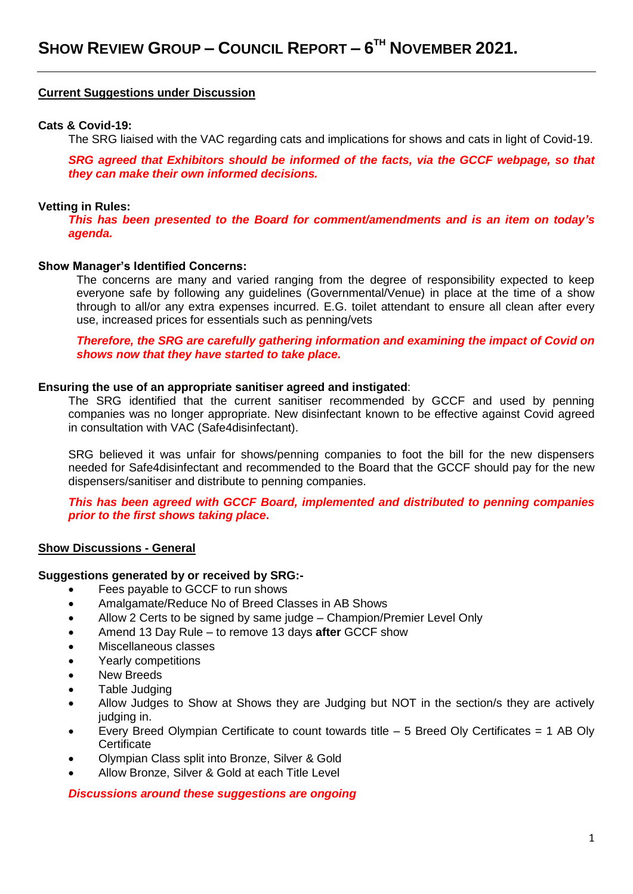### **Current Suggestions under Discussion**

### **Cats & Covid-19:**

The SRG liaised with the VAC regarding cats and implications for shows and cats in light of Covid-19.

*SRG agreed that Exhibitors should be informed of the facts, via the GCCF webpage, so that they can make their own informed decisions.*

### **Vetting in Rules:**

*This has been presented to the Board for comment/amendments and is an item on today's agenda.*

### **Show Manager's Identified Concerns:**

The concerns are many and varied ranging from the degree of responsibility expected to keep everyone safe by following any guidelines (Governmental/Venue) in place at the time of a show through to all/or any extra expenses incurred. E.G. toilet attendant to ensure all clean after every use, increased prices for essentials such as penning/vets

*Therefore, the SRG are carefully gathering information and examining the impact of Covid on shows now that they have started to take place.*

### **Ensuring the use of an appropriate sanitiser agreed and instigated**:

The SRG identified that the current sanitiser recommended by GCCF and used by penning companies was no longer appropriate. New disinfectant known to be effective against Covid agreed in consultation with VAC (Safe4disinfectant).

SRG believed it was unfair for shows/penning companies to foot the bill for the new dispensers needed for Safe4disinfectant and recommended to the Board that the GCCF should pay for the new dispensers/sanitiser and distribute to penning companies.

*This has been agreed with GCCF Board, implemented and distributed to penning companies prior to the first shows taking place***.**

### **Show Discussions - General**

### **Suggestions generated by or received by SRG:-**

- Fees payable to GCCF to run shows
- Amalgamate/Reduce No of Breed Classes in AB Shows
- Allow 2 Certs to be signed by same judge Champion/Premier Level Only
- Amend 13 Day Rule to remove 13 days **after** GCCF show
- Miscellaneous classes
- Yearly competitions
- New Breeds
- Table Judging
- Allow Judges to Show at Shows they are Judging but NOT in the section/s they are actively judging in.
- Every Breed Olympian Certificate to count towards title  $-5$  Breed Oly Certificates  $= 1$  AB Oly **Certificate**
- Olympian Class split into Bronze, Silver & Gold
- Allow Bronze, Silver & Gold at each Title Level

### *Discussions around these suggestions are ongoing*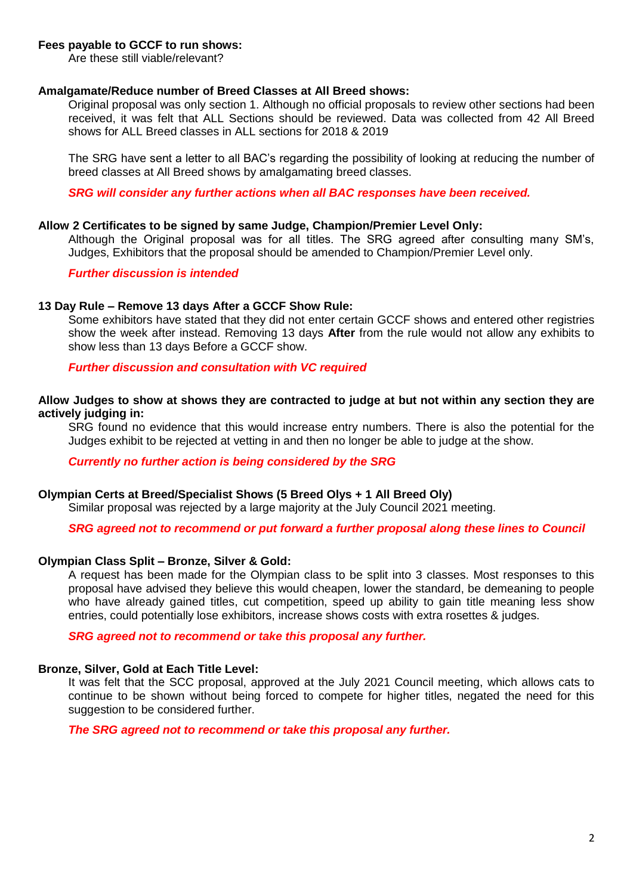## **Fees payable to GCCF to run shows:**

Are these still viable/relevant?

### **Amalgamate/Reduce number of Breed Classes at All Breed shows:**

Original proposal was only section 1. Although no official proposals to review other sections had been received, it was felt that ALL Sections should be reviewed. Data was collected from 42 All Breed shows for ALL Breed classes in ALL sections for 2018 & 2019

The SRG have sent a letter to all BAC's regarding the possibility of looking at reducing the number of breed classes at All Breed shows by amalgamating breed classes.

*SRG will consider any further actions when all BAC responses have been received.* 

### **Allow 2 Certificates to be signed by same Judge, Champion/Premier Level Only:**

Although the Original proposal was for all titles. The SRG agreed after consulting many SM's, Judges, Exhibitors that the proposal should be amended to Champion/Premier Level only.

## *Further discussion is intended*

### **13 Day Rule – Remove 13 days After a GCCF Show Rule:**

Some exhibitors have stated that they did not enter certain GCCF shows and entered other registries show the week after instead. Removing 13 days **After** from the rule would not allow any exhibits to show less than 13 days Before a GCCF show.

*Further discussion and consultation with VC required*

## **Allow Judges to show at shows they are contracted to judge at but not within any section they are actively judging in:**

SRG found no evidence that this would increase entry numbers. There is also the potential for the Judges exhibit to be rejected at vetting in and then no longer be able to judge at the show.

*Currently no further action is being considered by the SRG*

### **Olympian Certs at Breed/Specialist Shows (5 Breed Olys + 1 All Breed Oly)**

Similar proposal was rejected by a large majority at the July Council 2021 meeting.

### *SRG agreed not to recommend or put forward a further proposal along these lines to Council*

## **Olympian Class Split – Bronze, Silver & Gold:**

A request has been made for the Olympian class to be split into 3 classes. Most responses to this proposal have advised they believe this would cheapen, lower the standard, be demeaning to people who have already gained titles, cut competition, speed up ability to gain title meaning less show entries, could potentially lose exhibitors, increase shows costs with extra rosettes & judges.

*SRG agreed not to recommend or take this proposal any further.*

## **Bronze, Silver, Gold at Each Title Level:**

It was felt that the SCC proposal, approved at the July 2021 Council meeting, which allows cats to continue to be shown without being forced to compete for higher titles, negated the need for this suggestion to be considered further.

*The SRG agreed not to recommend or take this proposal any further.*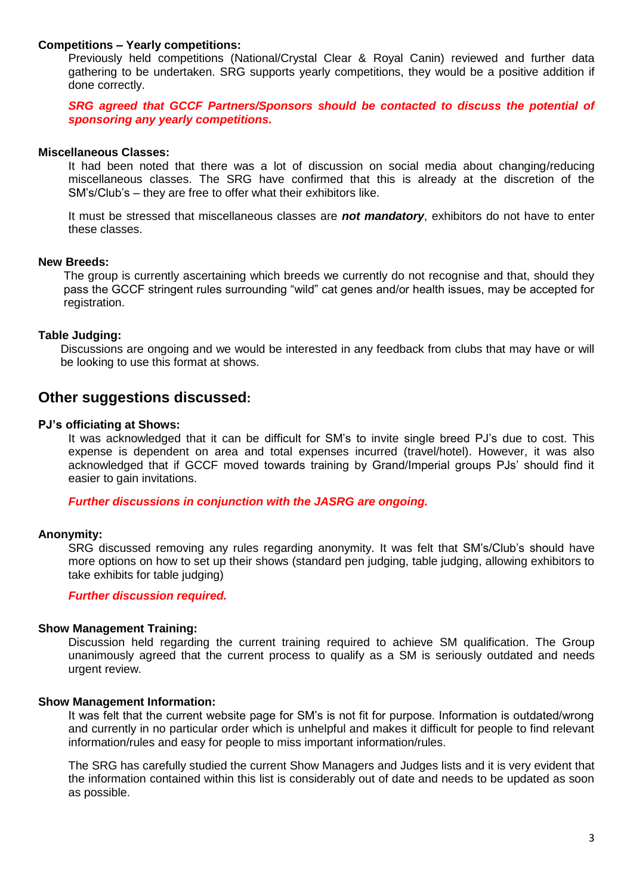## **Competitions – Yearly competitions:**

Previously held competitions (National/Crystal Clear & Royal Canin) reviewed and further data gathering to be undertaken. SRG supports yearly competitions, they would be a positive addition if done correctly.

**SRG agreed that GCCF Partners/Sponsors should be contacted to discuss the potential of** *sponsoring any yearly competitions.*

### **Miscellaneous Classes:**

It had been noted that there was a lot of discussion on social media about changing/reducing miscellaneous classes. The SRG have confirmed that this is already at the discretion of the SM's/Club's – they are free to offer what their exhibitors like.

It must be stressed that miscellaneous classes are *not mandatory*, exhibitors do not have to enter these classes.

## **New Breeds:**

The group is currently ascertaining which breeds we currently do not recognise and that, should they pass the GCCF stringent rules surrounding "wild" cat genes and/or health issues, may be accepted for registration.

## **Table Judging:**

Discussions are ongoing and we would be interested in any feedback from clubs that may have or will be looking to use this format at shows.

# **Other suggestions discussed:**

## **PJ's officiating at Shows:**

It was acknowledged that it can be difficult for SM's to invite single breed PJ's due to cost. This expense is dependent on area and total expenses incurred (travel/hotel). However, it was also acknowledged that if GCCF moved towards training by Grand/Imperial groups PJs' should find it easier to gain invitations.

*Further discussions in conjunction with the JASRG are ongoing.*

## **Anonymity:**

SRG discussed removing any rules regarding anonymity. It was felt that SM's/Club's should have more options on how to set up their shows (standard pen judging, table judging, allowing exhibitors to take exhibits for table judging)

### *Further discussion required.*

### **Show Management Training:**

Discussion held regarding the current training required to achieve SM qualification. The Group unanimously agreed that the current process to qualify as a SM is seriously outdated and needs urgent review.

### **Show Management Information:**

It was felt that the current website page for SM's is not fit for purpose. Information is outdated/wrong and currently in no particular order which is unhelpful and makes it difficult for people to find relevant information/rules and easy for people to miss important information/rules.

The SRG has carefully studied the current Show Managers and Judges lists and it is very evident that the information contained within this list is considerably out of date and needs to be updated as soon as possible.